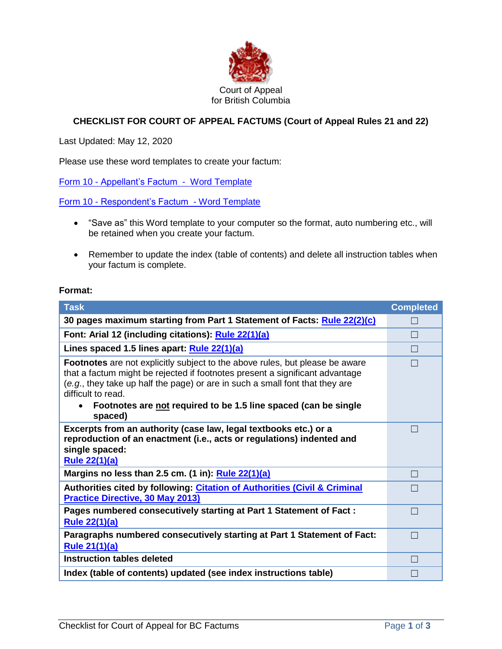

## **CHECKLIST FOR COURT OF APPEAL FACTUMS (Court of Appeal Rules 21 and 22)**

Last Updated: May 12, 2020

Please use these word templates to create your factum:

Form 10 - [Appellant's Factum - Word Template](http://www.courts.gov.bc.ca/Court_of_Appeal/practice_and_procedure/Forms/CA12345_factum_appellant_Final.dotx)

Form 10 - [Respondent's Factum -](http://www.courts.gov.bc.ca/Court_of_Appeal/practice_and_procedure/Forms/CA12345_factum_respondent_Final.dotx) Word Template

- "Save as" this Word template to your computer so the format, auto numbering etc., will be retained when you create your factum.
- Remember to update the index (table of contents) and delete all instruction tables when your factum is complete.

## **Format:**

| <b>Task</b>                                                                                                                                                                                                                                                                                                                                             | <b>Completed</b>         |  |
|---------------------------------------------------------------------------------------------------------------------------------------------------------------------------------------------------------------------------------------------------------------------------------------------------------------------------------------------------------|--------------------------|--|
| 30 pages maximum starting from Part 1 Statement of Facts: Rule 22(2)(c)                                                                                                                                                                                                                                                                                 |                          |  |
| Font: Arial 12 (including citations): Rule 22(1)(a)                                                                                                                                                                                                                                                                                                     | $\vert \ \ \vert$        |  |
| Lines spaced 1.5 lines apart: Rule 22(1)(a)                                                                                                                                                                                                                                                                                                             | $\Box$                   |  |
| <b>Footnotes</b> are not explicitly subject to the above rules, but please be aware<br>that a factum might be rejected if footnotes present a significant advantage<br>(e.g., they take up half the page) or are in such a small font that they are<br>difficult to read.<br>Footnotes are not required to be 1.5 line spaced (can be single<br>spaced) |                          |  |
| Excerpts from an authority (case law, legal textbooks etc.) or a<br>reproduction of an enactment (i.e., acts or regulations) indented and<br>single spaced:<br><b>Rule 22(1)(a)</b>                                                                                                                                                                     |                          |  |
| Margins no less than 2.5 cm. (1 in): Rule 22(1)(a)                                                                                                                                                                                                                                                                                                      | $\Box$                   |  |
| Authorities cited by following: Citation of Authorities (Civil & Criminal<br><b>Practice Directive, 30 May 2013)</b>                                                                                                                                                                                                                                    |                          |  |
| Pages numbered consecutively starting at Part 1 Statement of Fact:<br><b>Rule 22(1)(a)</b>                                                                                                                                                                                                                                                              | $\overline{\phantom{a}}$ |  |
| Paragraphs numbered consecutively starting at Part 1 Statement of Fact:<br><b>Rule 21(1)(a)</b>                                                                                                                                                                                                                                                         | П                        |  |
| <b>Instruction tables deleted</b>                                                                                                                                                                                                                                                                                                                       |                          |  |
| Index (table of contents) updated (see index instructions table)                                                                                                                                                                                                                                                                                        |                          |  |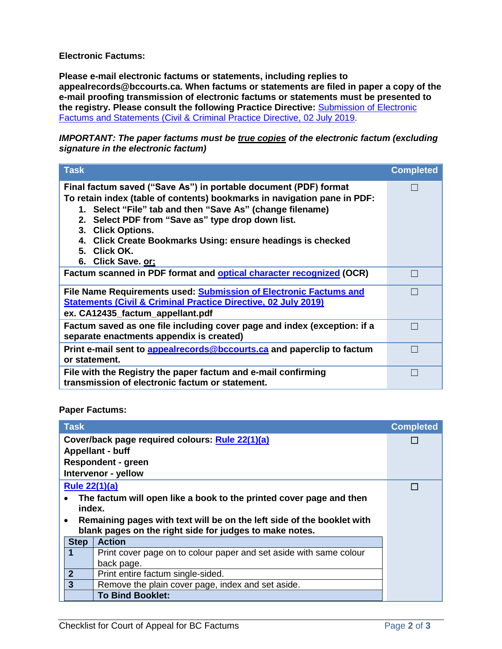**Electronic Factums:**

**Please e-mail electronic factums or statements, including replies to appealrecords@bccourts.ca. When factums or statements are filed in paper a copy of the e-mail proofing transmission of electronic factums or statements must be presented to the registry. Please consult the following Practice Directive:** [Submission](https://www.bccourts.ca/Court_of_Appeal/practice_and_procedure/civil_and_criminal_practice_directives/PDF/(CandC)Submission_of_Electronic_Factums_and_Statements.pdf) of Electronic Factums and Statements (Civil & Criminal Practice Directive, 02 July 2019.

*IMPORTANT: The paper factums must be true copies of the electronic factum (excluding signature in the electronic factum)* 

| <b>Task</b>                                                                                                                                                                                                                                                                                                                                                                              | <b>Completed</b> |
|------------------------------------------------------------------------------------------------------------------------------------------------------------------------------------------------------------------------------------------------------------------------------------------------------------------------------------------------------------------------------------------|------------------|
| Final factum saved ("Save As") in portable document (PDF) format<br>To retain index (table of contents) bookmarks in navigation pane in PDF:<br>1. Select "File" tab and then "Save As" (change filename)<br>2. Select PDF from "Save as" type drop down list.<br>3. Click Options.<br>4. Click Create Bookmarks Using: ensure headings is checked<br>5. Click OK.<br>6. Click Save. or; |                  |
| Factum scanned in PDF format and <b>optical character recognized</b> (OCR)                                                                                                                                                                                                                                                                                                               |                  |
| File Name Requirements used: Submission of Electronic Factums and<br><b>Statements (Civil &amp; Criminal Practice Directive, 02 July 2019)</b><br>ex. CA12435_factum_appellant.pdf                                                                                                                                                                                                       |                  |
| Factum saved as one file including cover page and index (exception: if a<br>separate enactments appendix is created)                                                                                                                                                                                                                                                                     |                  |
| Print e-mail sent to appealrecords@bccourts.ca and paperclip to factum<br>or statement.                                                                                                                                                                                                                                                                                                  |                  |
| File with the Registry the paper factum and e-mail confirming<br>transmission of electronic factum or statement.                                                                                                                                                                                                                                                                         |                  |

**Paper Factums:**

| <b>Task</b>                                                            |             |                                                                    | <b>Completed</b> |  |
|------------------------------------------------------------------------|-------------|--------------------------------------------------------------------|------------------|--|
| Cover/back page required colours: Rule 22(1)(a)                        |             |                                                                    |                  |  |
| <b>Appellant - buff</b>                                                |             |                                                                    |                  |  |
| <b>Respondent - green</b>                                              |             |                                                                    |                  |  |
| Intervenor - yellow                                                    |             |                                                                    |                  |  |
|                                                                        |             | <b>Rule 22(1)(a)</b>                                               |                  |  |
| The factum will open like a book to the printed cover page and then    |             |                                                                    |                  |  |
|                                                                        | index.      |                                                                    |                  |  |
| Remaining pages with text will be on the left side of the booklet with |             |                                                                    |                  |  |
|                                                                        |             | blank pages on the right side for judges to make notes.            |                  |  |
|                                                                        | <b>Step</b> | <b>Action</b>                                                      |                  |  |
|                                                                        |             | Print cover page on to colour paper and set aside with same colour |                  |  |
|                                                                        |             | back page.                                                         |                  |  |
| $\overline{2}$                                                         |             | Print entire factum single-sided.                                  |                  |  |
| $\overline{3}$                                                         |             | Remove the plain cover page, index and set aside.                  |                  |  |
|                                                                        |             | <b>To Bind Booklet:</b>                                            |                  |  |